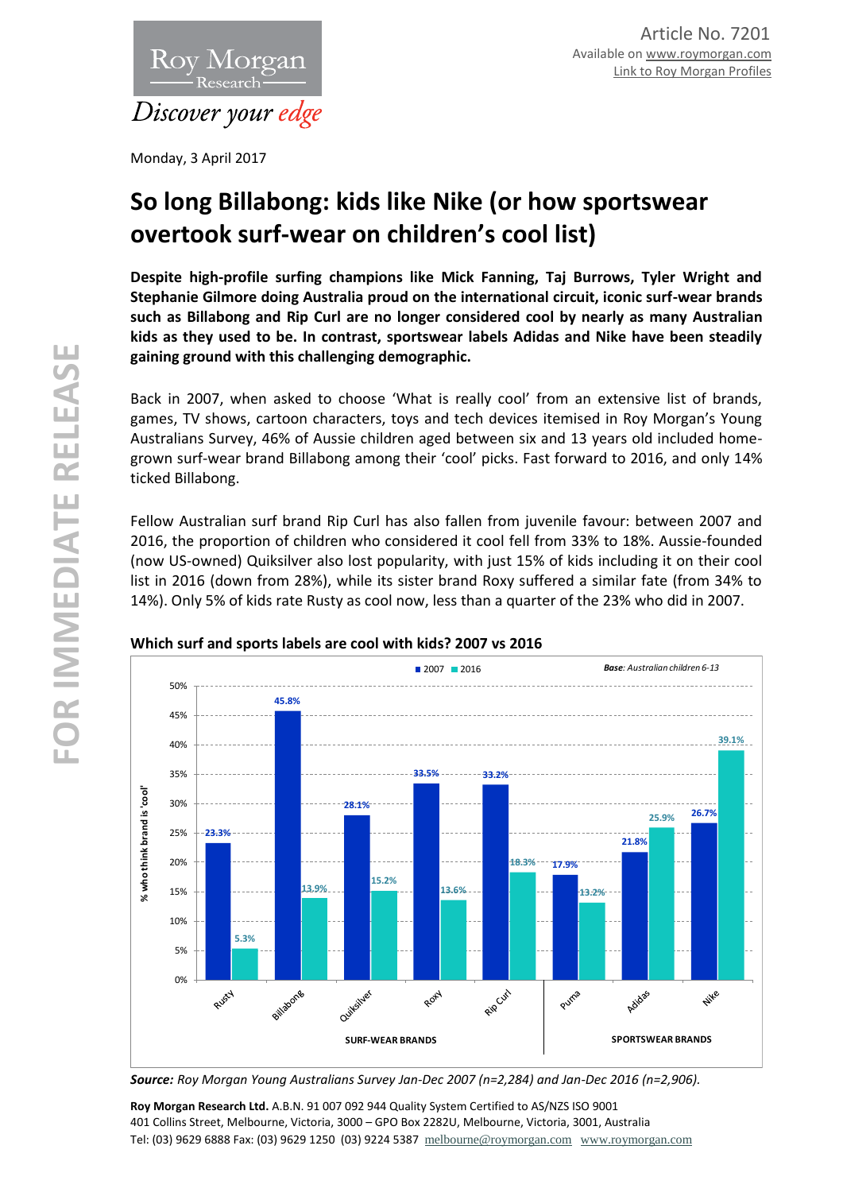

Monday, 3 April 2017

# **So long Billabong: kids like Nike (or how sportswear overtook surf-wear on children's cool list)**

**Despite high-profile surfing champions like Mick Fanning, Taj Burrows, Tyler Wright and Stephanie Gilmore doing Australia proud on the international circuit, iconic surf-wear brands such as Billabong and Rip Curl are no longer considered cool by nearly as many Australian kids as they used to be. In contrast, sportswear labels Adidas and Nike have been steadily gaining ground with this challenging demographic.**

Back in 2007, when asked to choose 'What is really cool' from an extensive list of brands, games, TV shows, cartoon characters, toys and tech devices itemised in Roy Morgan's Young Australians Survey, 46% of Aussie children aged between six and 13 years old included homegrown surf-wear brand Billabong among their 'cool' picks. Fast forward to 2016, and only 14% ticked Billabong.

Fellow Australian surf brand Rip Curl has also fallen from juvenile favour: between 2007 and 2016, the proportion of children who considered it cool fell from 33% to 18%. Aussie-founded (now US-owned) Quiksilver also lost popularity, with just 15% of kids including it on their cool list in 2016 (down from 28%), while its sister brand Roxy suffered a similar fate (from 34% to 14%). Only 5% of kids rate Rusty as cool now, less than a quarter of the 23% who did in 2007.



## **Which surf and sports labels are cool with kids? 2007 vs 2016**

*Source: Roy Morgan Young Australians Survey Jan-Dec 2007 (n=2,284) and Jan-Dec 2016 (n=2,906).* 

**Roy Morgan Research Ltd.** A.B.N. 91 007 092 944 Quality System Certified to AS/NZS ISO 9001 401 Collins Street, Melbourne, Victoria, 3000 – GPO Box 2282U, Melbourne, Victoria, 3001, Australia Tel: (03) 9629 6888 Fax: (03) 9629 1250 (03) 9224 5387 [melbourne@roymorgan.com](mailto:melbourne@roymorgan.com) [www.roymorgan.com](http://www.roymorgan.com/)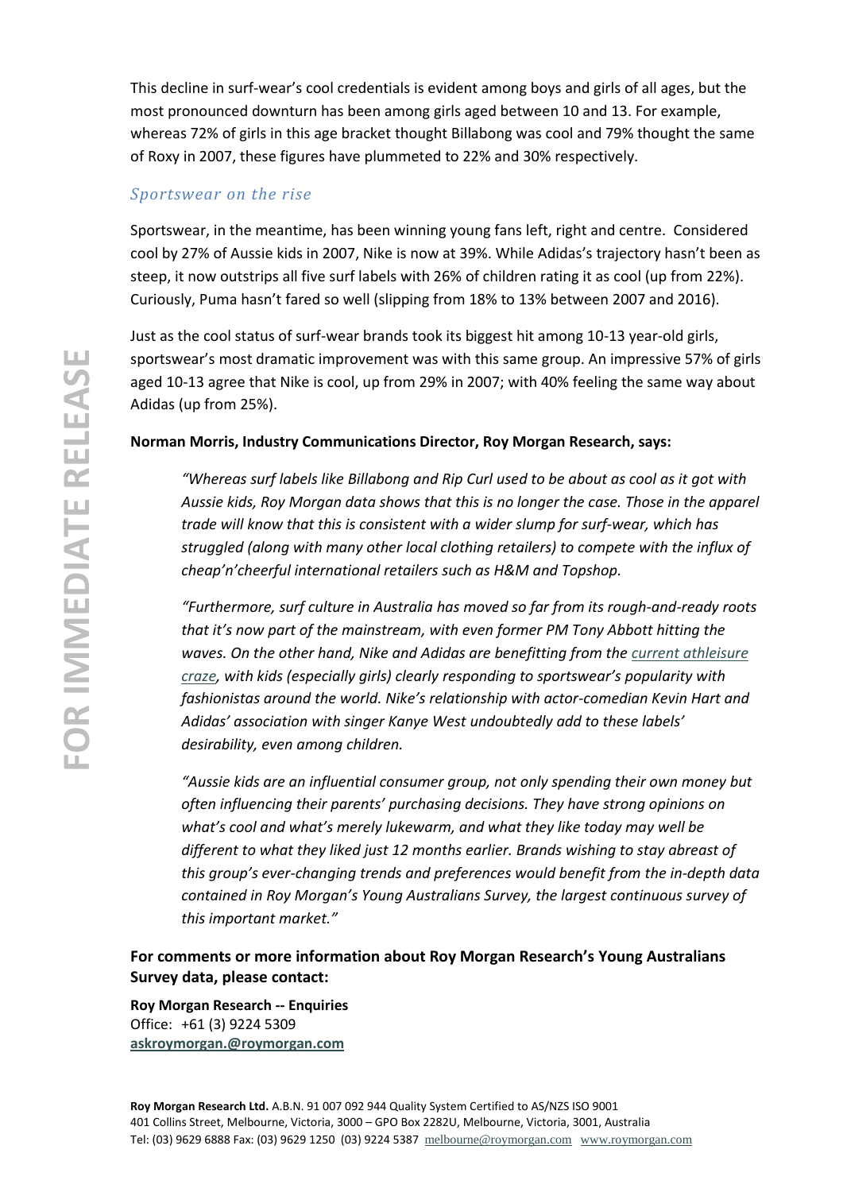This decline in surf-wear's cool credentials is evident among boys and girls of all ages, but the most pronounced downturn has been among girls aged between 10 and 13. For example, whereas 72% of girls in this age bracket thought Billabong was cool and 79% thought the same of Roxy in 2007, these figures have plummeted to 22% and 30% respectively.

## *Sportswear on the rise*

Sportswear, in the meantime, has been winning young fans left, right and centre. Considered cool by 27% of Aussie kids in 2007, Nike is now at 39%. While Adidas's trajectory hasn't been as steep, it now outstrips all five surf labels with 26% of children rating it as cool (up from 22%). Curiously, Puma hasn't fared so well (slipping from 18% to 13% between 2007 and 2016).

Just as the cool status of surf-wear brands took its biggest hit among 10-13 year-old girls, sportswear's most dramatic improvement was with this same group. An impressive 57% of girls aged 10-13 agree that Nike is cool, up from 29% in 2007; with 40% feeling the same way about Adidas (up from 25%).

## **Norman Morris, Industry Communications Director, Roy Morgan Research, says:**

*"Whereas surf labels like Billabong and Rip Curl used to be about as cool as it got with Aussie kids, Roy Morgan data shows that this is no longer the case. Those in the apparel trade will know that this is consistent with a wider slump for surf-wear, which has struggled (along with many other local clothing retailers) to compete with the influx of cheap'n'cheerful international retailers such as H&M and Topshop.* 

*"Furthermore, surf culture in Australia has moved so far from its rough-and-ready roots that it's now part of the mainstream, with even former PM Tony Abbott hitting the waves. On the other hand, Nike and Adidas are benefitting from the [current athleisure](http://www.roymorgan.com.au/findings/7067-gen-z-and-the-rise-of-athleisure-wear-201611280932)  [craze,](http://www.roymorgan.com.au/findings/7067-gen-z-and-the-rise-of-athleisure-wear-201611280932) with kids (especially girls) clearly responding to sportswear's popularity with fashionistas around the world. Nike's relationship with actor-comedian Kevin Hart and Adidas' association with singer Kanye West undoubtedly add to these labels' desirability, even among children.* 

*"Aussie kids are an influential consumer group, not only spending their own money but often influencing their parents' purchasing decisions. They have strong opinions on what's cool and what's merely lukewarm, and what they like today may well be different to what they liked just 12 months earlier. Brands wishing to stay abreast of this group's ever-changing trends and preferences would benefit from the in-depth data contained in Roy Morgan's Young Australians Survey, the largest continuous survey of this important market."*

**For comments or more information about Roy Morgan Research's Young Australians Survey data, please contact:**

**Roy Morgan Research -- Enquiries** Office: +61 (3) 9224 5309 **[askroymorgan.@roymorgan.com](mailto:askroymorgan.@roymorgan.com)**